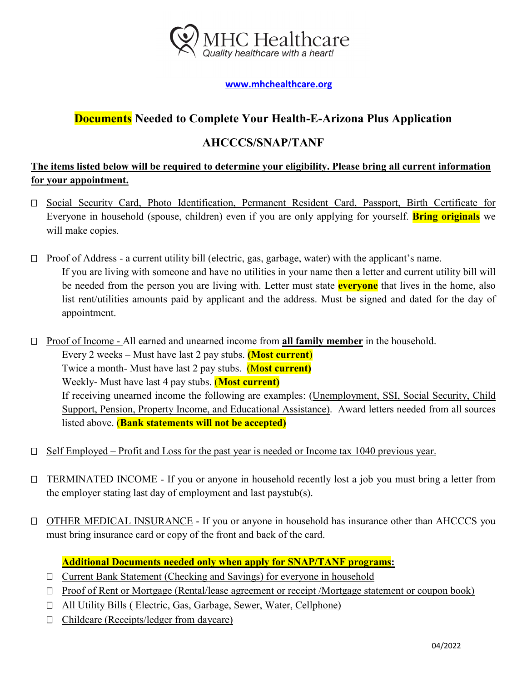

#### **[www.mhchealthcare.org](http://www.mhchealthcare.org/)**

# **Documents Needed to Complete Your Health-E-Arizona Plus Application**

## **AHCCCS/SNAP/TANF**

### **The items listed below will be required to determine your eligibility. Please bring all current information for your appointment.**

- Social Security Card, Photo Identification, Permanent Resident Card, Passport, Birth Certificate for Everyone in household (spouse, children) even if you are only applying for yourself. **Bring originals** we will make copies.
- $\Box$  Proof of Address a current utility bill (electric, gas, garbage, water) with the applicant's name. If you are living with someone and have no utilities in your name then a letter and current utility bill will be needed from the person you are living with. Letter must state **everyone** that lives in the home, also list rent/utilities amounts paid by applicant and the address. Must be signed and dated for the day of appointment.
- Proof of Income All earned and unearned income from **all family member** in the household. Every 2 weeks – Must have last 2 pay stubs. **(Most current**) Twice a month- Must have last 2 pay stubs. (M**ost current)** Weekly- Must have last 4 pay stubs. (**Most current)** If receiving unearned income the following are examples: (Unemployment, SSI, Social Security, Child Support, Pension, Property Income, and Educational Assistance). Award letters needed from all sources listed above. (**Bank statements will not be accepted)**
- $\Box$  Self Employed Profit and Loss for the past year is needed or Income tax 1040 previous year.
- $\Box$  TERMINATED INCOME If you or anyone in household recently lost a job you must bring a letter from the employer stating last day of employment and last paystub(s).
- □ OTHER MEDICAL INSURANCE If you or anyone in household has insurance other than AHCCCS you must bring insurance card or copy of the front and back of the card.

#### **Additional Documents needed only when apply for SNAP/TANF programs:**

- Current Bank Statement (Checking and Savings) for everyone in household
- □ Proof of Rent or Mortgage (Rental/lease agreement or receipt /Mortgage statement or coupon book)
- □ All Utility Bills ( Electric, Gas, Garbage, Sewer, Water, Cellphone)
- $\Box$  Childcare (Receipts/ledger from daycare)